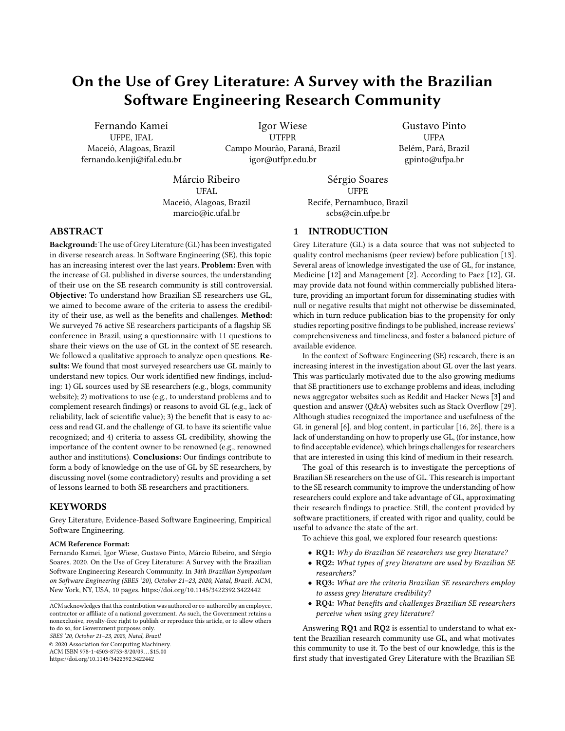# On the Use of Grey Literature: A Survey with the Brazilian Software Engineering Research Community

Fernando Kamei UFPE, IFAL Maceió, Alagoas, Brazil fernando.kenji@ifal.edu.br

Igor Wiese UTFPR Campo Mourão, Paraná, Brazil igor@utfpr.edu.br

Gustavo Pinto **I** IFPA Belém, Pará, Brazil gpinto@ufpa.br

Márcio Ribeiro UFAL Maceió, Alagoas, Brazil marcio@ic.ufal.br

Sérgio Soares UFPE Recife, Pernambuco, Brazil scbs@cin.ufpe.br

# 1 INTRODUCTION

Grey Literature (GL) is a data source that was not subjected to quality control mechanisms (peer review) before publication [\[13\]](#page-9-1). Several areas of knowledge investigated the use of GL, for instance, Medicine [\[12\]](#page-9-2) and Management [\[2\]](#page-9-3). According to Paez [\[12\]](#page-9-2), GL may provide data not found within commercially published literature, providing an important forum for disseminating studies with null or negative results that might not otherwise be disseminated, which in turn reduce publication bias to the propensity for only studies reporting positive findings to be published, increase reviews' comprehensiveness and timeliness, and foster a balanced picture of available evidence.

In the context of Software Engineering (SE) research, there is an increasing interest in the investigation about GL over the last years. This was particularly motivated due to the also growing mediums that SE practitioners use to exchange problems and ideas, including news aggregator websites such as Reddit and Hacker News [\[3\]](#page-9-4) and question and answer (Q&A) websites such as Stack Overflow [\[29\]](#page-9-5). Although studies recognized the importance and usefulness of the GL in general [\[6\]](#page-9-6), and blog content, in particular [\[16,](#page-9-7) [26\]](#page-9-8), there is a lack of understanding on how to properly use GL, (for instance, how to find acceptable evidence), which brings challenges for researchers that are interested in using this kind of medium in their research.

The goal of this research is to investigate the perceptions of Brazilian SE researchers on the use of GL. This research is important to the SE research community to improve the understanding of how researchers could explore and take advantage of GL, approximating their research findings to practice. Still, the content provided by software practitioners, if created with rigor and quality, could be useful to advance the state of the art.

To achieve this goal, we explored four research questions:

- RQ1: Why do Brazilian SE researchers use grey literature?
- RQ2: What types of grey literature are used by Brazilian SE researchers?
- RQ3: What are the criteria Brazilian SE researchers employ to assess grey literature credibility?
- RQ4: What benefits and challenges Brazilian SE researchers perceive when using grey literature?

Answering RQ1 and RQ2 is essential to understand to what extent the Brazilian research community use GL, and what motivates this community to use it. To the best of our knowledge, this is the first study that investigated Grey Literature with the Brazilian SE

### ABSTRACT

Background: The use of Grey Literature (GL) has been investigated in diverse research areas. In Software Engineering (SE), this topic has an increasing interest over the last years. Problem: Even with the increase of GL published in diverse sources, the understanding of their use on the SE research community is still controversial. Objective: To understand how Brazilian SE researchers use GL, we aimed to become aware of the criteria to assess the credibility of their use, as well as the benefits and challenges. Method: We surveyed 76 active SE researchers participants of a flagship SE conference in Brazil, using a questionnaire with 11 questions to share their views on the use of GL in the context of SE research. We followed a qualitative approach to analyze open questions. Results: We found that most surveyed researchers use GL mainly to understand new topics. Our work identified new findings, including: 1) GL sources used by SE researchers (e.g., blogs, community website); 2) motivations to use (e.g., to understand problems and to complement research findings) or reasons to avoid GL (e.g., lack of reliability, lack of scientific value); 3) the benefit that is easy to access and read GL and the challenge of GL to have its scientific value recognized; and 4) criteria to assess GL credibility, showing the importance of the content owner to be renowned (e.g., renowned author and institutions). Conclusions: Our findings contribute to form a body of knowledge on the use of GL by SE researchers, by discussing novel (some contradictory) results and providing a set of lessons learned to both SE researchers and practitioners.

### **KEYWORDS**

Grey Literature, Evidence-Based Software Engineering, Empirical Software Engineering.

#### ACM Reference Format:

Fernando Kamei, Igor Wiese, Gustavo Pinto, Márcio Ribeiro, and Sérgio Soares. 2020. On the Use of Grey Literature: A Survey with the Brazilian Software Engineering Research Community. In 34th Brazilian Symposium on Software Engineering (SBES '20), October 21–23, 2020, Natal, Brazil. ACM, New York, NY, USA, [10](#page-9-0) pages.<https://doi.org/10.1145/3422392.3422442>

ACM acknowledges that this contribution was authored or co-authored by an employee, contractor or affiliate of a national government. As such, the Government retains a nonexclusive, royalty-free right to publish or reproduce this article, or to allow others to do so, for Government purposes only. SBES '20, October 21–23, 2020, Natal, Brazil © 2020 Association for Computing Machinery.

ACM ISBN 978-1-4503-8753-8/20/09. . . \$15.00

<https://doi.org/10.1145/3422392.3422442>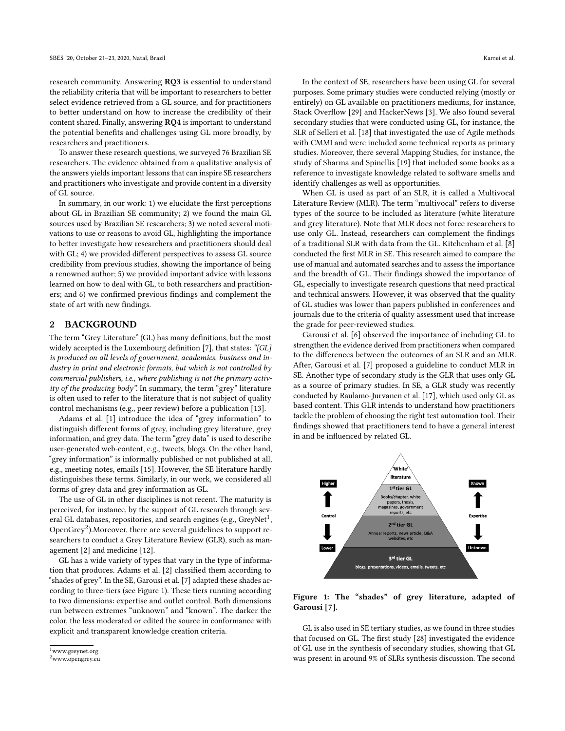research community. Answering RQ3 is essential to understand the reliability criteria that will be important to researchers to better select evidence retrieved from a GL source, and for practitioners to better understand on how to increase the credibility of their content shared. Finally, answering RQ4 is important to understand the potential benefits and challenges using GL more broadly, by researchers and practitioners.

To answer these research questions, we surveyed 76 Brazilian SE researchers. The evidence obtained from a qualitative analysis of the answers yields important lessons that can inspire SE researchers and practitioners who investigate and provide content in a diversity of GL source.

In summary, in our work: 1) we elucidate the first perceptions about GL in Brazilian SE community; 2) we found the main GL sources used by Brazilian SE researchers; 3) we noted several motivations to use or reasons to avoid GL, highlighting the importance to better investigate how researchers and practitioners should deal with GL; 4) we provided different perspectives to assess GL source credibility from previous studies, showing the importance of being a renowned author; 5) we provided important advice with lessons learned on how to deal with GL, to both researchers and practitioners; and 6) we confirmed previous findings and complement the state of art with new findings.

### 2 BACKGROUND

The term "Grey Literature" (GL) has many definitions, but the most widely accepted is the Luxembourg definition [\[7\]](#page-9-9), that states: "[GL] is produced on all levels of government, academics, business and industry in print and electronic formats, but which is not controlled by commercial publishers, i.e., where publishing is not the primary activity of the producing body". In summary, the term "grey" literature is often used to refer to the literature that is not subject of quality control mechanisms (e.g., peer review) before a publication [\[13\]](#page-9-1).

Adams et al. [\[1\]](#page-9-10) introduce the idea of "grey information" to distinguish different forms of grey, including grey literature, grey information, and grey data. The term "grey data" is used to describe user-generated web-content, e.g., tweets, blogs. On the other hand, "grey information" is informally published or not published at all, e.g., meeting notes, emails [\[15\]](#page-9-11). However, the SE literature hardly distinguishes these terms. Similarly, in our work, we considered all forms of grey data and grey information as GL.

The use of GL in other disciplines is not recent. The maturity is perceived, for instance, by the support of GL research through several GL databases, repositories, and search engines (e.g., GreyNet $^1$  $^1$ , OpenGrey $^2$  $^2$ ).Moreover, there are several guidelines to support researchers to conduct a Grey Literature Review (GLR), such as management [\[2\]](#page-9-3) and medicine [\[12\]](#page-9-2).

GL has a wide variety of types that vary in the type of information that produces. Adams et al. [\[2\]](#page-9-3) classified them according to "shades of grey". In the SE, Garousi et al. [\[7\]](#page-9-9) adapted these shades according to three-tiers (see Figure [1\)](#page-1-2). These tiers running according to two dimensions: expertise and outlet control. Both dimensions run between extremes "unknown" and "known". The darker the color, the less moderated or edited the source in conformance with explicit and transparent knowledge creation criteria.

In the context of SE, researchers have been using GL for several purposes. Some primary studies were conducted relying (mostly or entirely) on GL available on practitioners mediums, for instance, Stack Overflow [\[29\]](#page-9-5) and HackerNews [\[3\]](#page-9-4). We also found several secondary studies that were conducted using GL, for instance, the SLR of Selleri et al. [\[18\]](#page-9-12) that investigated the use of Agile methods with CMMI and were included some technical reports as primary studies. Moreover, there several Mapping Studies, for instance, the study of Sharma and Spinellis [\[19\]](#page-9-13) that included some books as a reference to investigate knowledge related to software smells and identify challenges as well as opportunities.

When GL is used as part of an SLR, it is called a Multivocal Literature Review (MLR). The term "multivocal" refers to diverse types of the source to be included as literature (white literature and grey literature). Note that MLR does not force researchers to use only GL. Instead, researchers can complement the findings of a traditional SLR with data from the GL. Kitchenham et al. [\[8\]](#page-9-14) conducted the first MLR in SE. This research aimed to compare the use of manual and automated searches and to assess the importance and the breadth of GL. Their findings showed the importance of GL, especially to investigate research questions that need practical and technical answers. However, it was observed that the quality of GL studies was lower than papers published in conferences and journals due to the criteria of quality assessment used that increase the grade for peer-reviewed studies.

Garousi et al. [\[6\]](#page-9-6) observed the importance of including GL to strengthen the evidence derived from practitioners when compared to the differences between the outcomes of an SLR and an MLR. After, Garousi et al. [\[7\]](#page-9-9) proposed a guideline to conduct MLR in SE. Another type of secondary study is the GLR that uses only GL as a source of primary studies. In SE, a GLR study was recently conducted by Raulamo-Jurvanen et al. [\[17\]](#page-9-15), which used only GL as based content. This GLR intends to understand how practitioners tackle the problem of choosing the right test automation tool. Their findings showed that practitioners tend to have a general interest in and be influenced by related GL.

<span id="page-1-2"></span>

Figure 1: The "shades" of grey literature, adapted of Garousi [\[7\]](#page-9-9).

GL is also used in SE tertiary studies, as we found in three studies that focused on GL. The first study [\[28\]](#page-9-16) investigated the evidence of GL use in the synthesis of secondary studies, showing that GL was present in around 9% of SLRs synthesis discussion. The second

<span id="page-1-0"></span><sup>1</sup>www.greynet.org

<span id="page-1-1"></span><sup>2</sup>www.opengrey.eu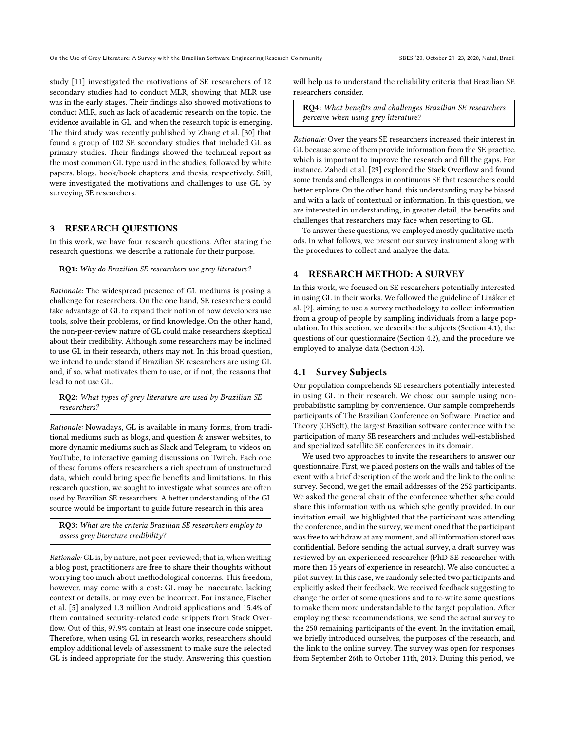study [\[11\]](#page-9-17) investigated the motivations of SE researchers of 12 secondary studies had to conduct MLR, showing that MLR use was in the early stages. Their findings also showed motivations to conduct MLR, such as lack of academic research on the topic, the evidence available in GL, and when the research topic is emerging. The third study was recently published by Zhang et al. [\[30\]](#page-9-18) that found a group of 102 SE secondary studies that included GL as primary studies. Their findings showed the technical report as the most common GL type used in the studies, followed by white papers, blogs, book/book chapters, and thesis, respectively. Still, were investigated the motivations and challenges to use GL by surveying SE researchers.

# 3 RESEARCH QUESTIONS

In this work, we have four research questions. After stating the research questions, we describe a rationale for their purpose.

RQ1: Why do Brazilian SE researchers use grey literature?

Rationale: The widespread presence of GL mediums is posing a challenge for researchers. On the one hand, SE researchers could take advantage of GL to expand their notion of how developers use tools, solve their problems, or find knowledge. On the other hand, the non-peer-review nature of GL could make researchers skeptical about their credibility. Although some researchers may be inclined to use GL in their research, others may not. In this broad question, we intend to understand if Brazilian SE researchers are using GL and, if so, what motivates them to use, or if not, the reasons that lead to not use GL.

RQ2: What types of grey literature are used by Brazilian SE researchers?

Rationale: Nowadays, GL is available in many forms, from traditional mediums such as blogs, and question & answer websites, to more dynamic mediums such as Slack and Telegram, to videos on YouTube, to interactive gaming discussions on Twitch. Each one of these forums offers researchers a rich spectrum of unstructured data, which could bring specific benefits and limitations. In this research question, we sought to investigate what sources are often used by Brazilian SE researchers. A better understanding of the GL source would be important to guide future research in this area.

RQ3: What are the criteria Brazilian SE researchers employ to assess grey literature credibility?

Rationale: GL is, by nature, not peer-reviewed; that is, when writing a blog post, practitioners are free to share their thoughts without worrying too much about methodological concerns. This freedom, however, may come with a cost: GL may be inaccurate, lacking context or details, or may even be incorrect. For instance, Fischer et al. [\[5\]](#page-9-19) analyzed 1.3 million Android applications and 15.4% of them contained security-related code snippets from Stack Overflow. Out of this, 97.9% contain at least one insecure code snippet. Therefore, when using GL in research works, researchers should employ additional levels of assessment to make sure the selected GL is indeed appropriate for the study. Answering this question

will help us to understand the reliability criteria that Brazilian SE researchers consider.

RQ4: What benefits and challenges Brazilian SE researchers perceive when using grey literature?

Rationale: Over the years SE researchers increased their interest in GL because some of them provide information from the SE practice, which is important to improve the research and fill the gaps. For instance, Zahedi et al. [\[29\]](#page-9-5) explored the Stack Overflow and found some trends and challenges in continuous SE that researchers could better explore. On the other hand, this understanding may be biased and with a lack of contextual or information. In this question, we are interested in understanding, in greater detail, the benefits and challenges that researchers may face when resorting to GL.

To answer these questions, we employed mostly qualitative methods. In what follows, we present our survey instrument along with the procedures to collect and analyze the data.

### 4 RESEARCH METHOD: A SURVEY

In this work, we focused on SE researchers potentially interested in using GL in their works. We followed the guideline of Linåker et al. [\[9\]](#page-9-20), aiming to use a survey methodology to collect information from a group of people by sampling individuals from a large population. In this section, we describe the subjects (Section [4.1\)](#page-2-0), the questions of our questionnaire (Section [4.2\)](#page-3-0), and the procedure we employed to analyze data (Section [4.3\)](#page-3-1).

### <span id="page-2-0"></span>4.1 Survey Subjects

Our population comprehends SE researchers potentially interested in using GL in their research. We chose our sample using nonprobabilistic sampling by convenience. Our sample comprehends participants of The Brazilian Conference on Software: Practice and Theory (CBSoft), the largest Brazilian software conference with the participation of many SE researchers and includes well-established and specialized satellite SE conferences in its domain.

We used two approaches to invite the researchers to answer our questionnaire. First, we placed posters on the walls and tables of the event with a brief description of the work and the link to the online survey. Second, we get the email addresses of the 252 participants. We asked the general chair of the conference whether s/he could share this information with us, which s/he gently provided. In our invitation email, we highlighted that the participant was attending the conference, and in the survey, we mentioned that the participant was free to withdraw at any moment, and all information stored was confidential. Before sending the actual survey, a draft survey was reviewed by an experienced researcher (PhD SE researcher with more then 15 years of experience in research). We also conducted a pilot survey. In this case, we randomly selected two participants and explicitly asked their feedback. We received feedback suggesting to change the order of some questions and to re-write some questions to make them more understandable to the target population. After employing these recommendations, we send the actual survey to the 250 remaining participants of the event. In the invitation email, we briefly introduced ourselves, the purposes of the research, and the link to the online survey. The survey was open for responses from September 26th to October 11th, 2019. During this period, we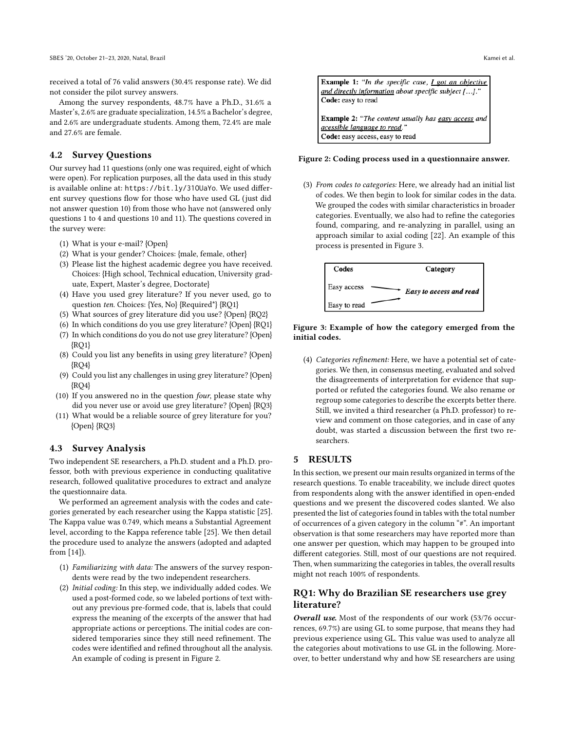received a total of 76 valid answers (30.4% response rate). We did not consider the pilot survey answers.

Among the survey respondents, 48.7% have a Ph.D., 31.6% a Master's, 2.6% are graduate specialization, 14.5% a Bachelor's degree, and 2.6% are undergraduate students. Among them, 72.4% are male and 27.6% are female.

# <span id="page-3-0"></span>4.2 Survey Questions

Our survey had 11 questions (only one was required, eight of which were open). For replication purposes, all the data used in this study is available online at: https://bit.ly/31OUaYo. We used different survey questions flow for those who have used GL (just did not answer question 10) from those who have not (answered only questions 1 to 4 and questions 10 and 11). The questions covered in the survey were:

- (1) What is your e-mail? {Open}
- (2) What is your gender? Choices: {male, female, other}
- (3) Please list the highest academic degree you have received. Choices: {High school, Technical education, University graduate, Expert, Master's degree, Doctorate}
- (4) Have you used grey literature? If you never used, go to question ten. Choices: {Yes, No} {Required\*} {RQ1}
- (5) What sources of grey literature did you use? {Open} {RQ2}
- (6) In which conditions do you use grey literature? {Open} {RQ1}
- (7) In which conditions do you do not use grey literature? {Open} {RQ1}
- (8) Could you list any benefits in using grey literature? {Open} {RQ4}
- (9) Could you list any challenges in using grey literature? {Open} {RQ4}
- (10) If you answered no in the question four, please state why did you never use or avoid use grey literature? {Open} {RQ3}
- (11) What would be a reliable source of grey literature for you? {Open} {RQ3}

### <span id="page-3-1"></span>4.3 Survey Analysis

Two independent SE researchers, a Ph.D. student and a Ph.D. professor, both with previous experience in conducting qualitative research, followed qualitative procedures to extract and analyze the questionnaire data.

We performed an agreement analysis with the codes and categories generated by each researcher using the Kappa statistic [\[25\]](#page-9-21). The Kappa value was 0.749, which means a Substantial Agreement level, according to the Kappa reference table [\[25\]](#page-9-21). We then detail the procedure used to analyze the answers (adopted and adapted from [\[14\]](#page-9-22)).

- (1) Familiarizing with data: The answers of the survey respondents were read by the two independent researchers.
- (2) Initial coding: In this step, we individually added codes. We used a post-formed code, so we labeled portions of text without any previous pre-formed code, that is, labels that could express the meaning of the excerpts of the answer that had appropriate actions or perceptions. The initial codes are considered temporaries since they still need refinement. The codes were identified and refined throughout all the analysis. An example of coding is present in Figure [2.](#page-3-2)

<span id="page-3-2"></span>

#### Figure 2: Coding process used in a questionnaire answer.

(3) From codes to categories: Here, we already had an initial list of codes. We then begin to look for similar codes in the data. We grouped the codes with similar characteristics in broader categories. Eventually, we also had to refine the categories found, comparing, and re-analyzing in parallel, using an approach similar to axial coding [\[22\]](#page-9-23). An example of this process is presented in Figure [3.](#page-3-3)

<span id="page-3-3"></span>



(4) Categories refinement: Here, we have a potential set of categories. We then, in consensus meeting, evaluated and solved the disagreements of interpretation for evidence that supported or refuted the categories found. We also rename or regroup some categories to describe the excerpts better there. Still, we invited a third researcher (a Ph.D. professor) to review and comment on those categories, and in case of any doubt, was started a discussion between the first two researchers.

### 5 RESULTS

In this section, we present our main results organized in terms of the research questions. To enable traceability, we include direct quotes from respondents along with the answer identified in open-ended questions and we present the discovered codes slanted. We also presented the list of categories found in tables with the total number of occurrences of a given category in the column "#". An important observation is that some researchers may have reported more than one answer per question, which may happen to be grouped into different categories. Still, most of our questions are not required. Then, when summarizing the categories in tables, the overall results might not reach 100% of respondents.

# RQ1: Why do Brazilian SE researchers use grey literature?

Overall use. Most of the respondents of our work (53/76 occurrences, 69.7%) are using GL to some purpose, that means they had previous experience using GL. This value was used to analyze all the categories about motivations to use GL in the following. Moreover, to better understand why and how SE researchers are using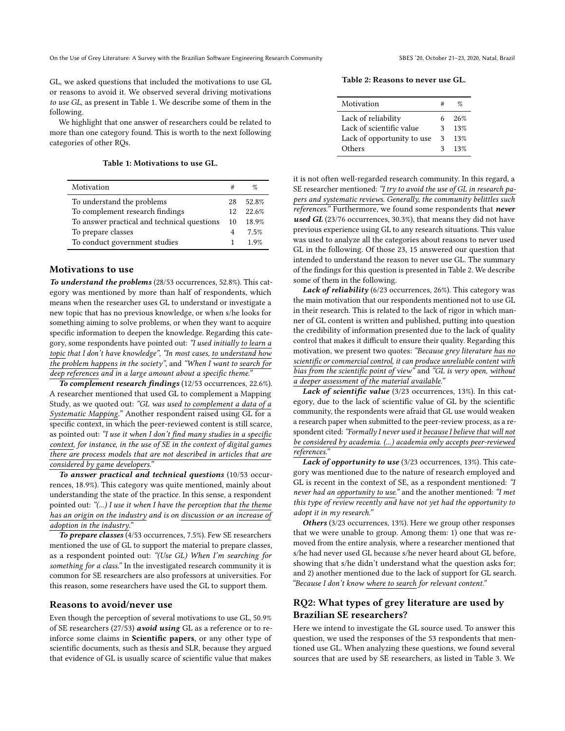GL, we asked questions that included the motivations to use GL or reasons to avoid it. We observed several driving motivations to use GL, as present in Table [1.](#page-4-0) We describe some of them in the following.

We highlight that one answer of researchers could be related to more than one category found. This is worth to the next following categories of other RQs.

Table 1: Motivations to use GL.

<span id="page-4-0"></span>

| Motivation                                  |    | %     |
|---------------------------------------------|----|-------|
| To understand the problems                  | 28 | 52.8% |
| To complement research findings             | 12 | 22.6% |
| To answer practical and technical questions | 10 | 18.9% |
| To prepare classes                          | 4  | 7.5%  |
| To conduct government studies               | 1  | 1.9%  |

### Motivations to use

To understand the problems (28/53 occurrences, 52.8%). This category was mentioned by more than half of respondents, which means when the researcher uses GL to understand or investigate a new topic that has no previous knowledge, or when s/he looks for something aiming to solve problems, or when they want to acquire specific information to deepen the knowledge. Regarding this category, some respondents have pointed out: "I used initially to learn a topic that I don't have knowledge", "In most cases, to understand how the problem happens in the society", and "When I want to search for deep references and in a large amount about a specific theme."

To complement research findings (12/53 occurrences, 22.6%). A researcher mentioned that used GL to complement a Mapping Study, as we quoted out: "GL was used to complement a data of a Systematic Mapping." Another respondent raised using GL for a specific context, in which the peer-reviewed content is still scarce, as pointed out: "I use it when I don't find many studies in a specific context, for instance, in the use of SE in the context of digital games there are process models that are not described in articles that are considered by game developers."

To answer practical and technical questions (10/53 occurrences, 18.9%). This category was quite mentioned, mainly about understanding the state of the practice. In this sense, a respondent pointed out: "(...) I use it when I have the perception that the theme has an origin on the industry and is on discussion or an increase of adoption in the industry."

To prepare classes (4/53 occurrences, 7.5%). Few SE researchers mentioned the use of GL to support the material to prepare classes, as a respondent pointed out: "(Use GL) When I'm searching for something for a class." In the investigated research community it is common for SE researchers are also professors at universities. For this reason, some researchers have used the GL to support them.

#### Reasons to avoid/never use

Even though the perception of several motivations to use GL, 50.9% of SE researchers (27/53) avoid using GL as a reference or to reinforce some claims in Scientific papers, or any other type of scientific documents, such as thesis and SLR, because they argued that evidence of GL is usually scarce of scientific value that makes

<span id="page-4-1"></span>

| Motivation                 |    | 07  |
|----------------------------|----|-----|
| Lack of reliability        | 6. | 26% |
| Lack of scientific value   | 3  | 13% |
| Lack of opportunity to use | 3  | 13% |
| Others                     | 3  | 13% |

it is not often well-regarded research community. In this regard, a SE researcher mentioned: "I try to avoid the use of GL in research papers and systematic reviews. Generally, the community belittles such references." Furthermore, we found some respondents that never used GL (23/76 occurrences, 30.3%), that means they did not have previous experience using GL to any research situations. This value was used to analyze all the categories about reasons to never used GL in the following. Of those 23, 15 answered our question that intended to understand the reason to never use GL. The summary of the findings for this question is presented in Table [2.](#page-4-1) We describe some of them in the following.

Lack of reliability (6/23 occurrences, 26%). This category was the main motivation that our respondents mentioned not to use GL in their research. This is related to the lack of rigor in which manner of GL content is written and published, putting into question the credibility of information presented due to the lack of quality control that makes it difficult to ensure their quality. Regarding this motivation, we present two quotes: "Because grey literature has no scientific or commercial control, it can produce unreliable content with bias from the scientific point of view" and "GL is very open, without a deeper assessment of the material available."

Lack of scientific value (3/23 occurrences, 13%). In this category, due to the lack of scientific value of GL by the scientific community, the respondents were afraid that GL use would weaken a research paper when submitted to the peer-review process, as a respondent cited: "Formally I never used it because I believe that will not be considered by academia. (...) academia only accepts peer-reviewed references."

Lack of opportunity to use  $(3/23)$  occurrences, 13%). This category was mentioned due to the nature of research employed and GL is recent in the context of SE, as a respondent mentioned: "I never had an opportunity to use." and the another mentioned: "I met this type of review recently and have not yet had the opportunity to adopt it in my research."

Others (3/23 occurrences, 13%). Here we group other responses that we were unable to group. Among them: 1) one that was removed from the entire analysis, where a researcher mentioned that s/he had never used GL because s/he never heard about GL before, showing that s/he didn't understand what the question asks for; and 2) another mentioned due to the lack of support for GL search. "Because I don't know where to search for relevant content."

# RQ2: What types of grey literature are used by Brazilian SE researchers?

Here we intend to investigate the GL source used. To answer this question, we used the responses of the 53 respondents that mentioned use GL. When analyzing these questions, we found several sources that are used by SE researchers, as listed in Table [3.](#page-5-0) We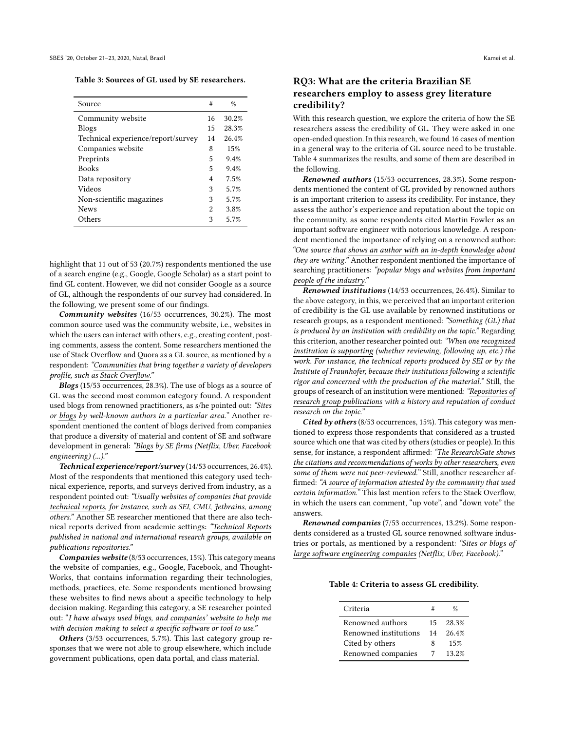<span id="page-5-0"></span>Table 3: Sources of GL used by SE researchers.

| Source                             | #              | %     |
|------------------------------------|----------------|-------|
| Community website                  | 16             | 30.2% |
| <b>Blogs</b>                       | 15             | 28.3% |
| Technical experience/report/survey | 14             | 26.4% |
| Companies website                  | 8              | 15%   |
| Preprints                          | 5              | 9.4%  |
| <b>Books</b>                       | 5              | 9.4%  |
| Data repository                    | 4              | 7.5%  |
| Videos                             | 3              | 5.7%  |
| Non-scientific magazines           | 3              | 5.7%  |
| <b>News</b>                        | $\mathfrak{D}$ | 3.8%  |
| Others                             | 3              | 5.7%  |

highlight that 11 out of 53 (20.7%) respondents mentioned the use of a search engine (e.g., Google, Google Scholar) as a start point to find GL content. However, we did not consider Google as a source of GL, although the respondents of our survey had considered. In the following, we present some of our findings.

Community websites (16/53 occurrences, 30.2%). The most common source used was the community website, i.e., websites in which the users can interact with others, e.g., creating content, posting comments, assess the content. Some researchers mentioned the use of Stack Overflow and Quora as a GL source, as mentioned by a respondent: "Communities that bring together a variety of developers profile, such as Stack Overflow."

Blogs (15/53 occurrences, 28.3%). The use of blogs as a source of GL was the second most common category found. A respondent used blogs from renowned practitioners, as s/he pointed out: "Sites or blogs by well-known authors in a particular area." Another respondent mentioned the content of blogs derived from companies that produce a diversity of material and content of SE and software development in general: "Blogs by SE firms (Netflix, Uber, Facebook engineering) (...)."

Technical experience/report/survey (14/53 occurrences, 26.4%). Most of the respondents that mentioned this category used technical experience, reports, and surveys derived from industry, as a respondent pointed out: "Usually websites of companies that provide technical reports, for instance, such as SEI, CMU, Jetbrains, among others." Another SE researcher mentioned that there are also technical reports derived from academic settings: "Technical Reports published in national and international research groups, available on publications repositories."

Companies website (8/53 occurrences, 15%). This category means the website of companies, e.g., Google, Facebook, and Thought-Works, that contains information regarding their technologies, methods, practices, etc. Some respondents mentioned browsing these websites to find news about a specific technology to help decision making. Regarding this category, a SE researcher pointed out: "I have always used blogs, and companies' website to help me with decision making to select a specific software or tool to use."

Others (3/53 occurrences, 5.7%). This last category group responses that we were not able to group elsewhere, which include government publications, open data portal, and class material.

# RQ3: What are the criteria Brazilian SE researchers employ to assess grey literature credibility?

With this research question, we explore the criteria of how the SE researchers assess the credibility of GL. They were asked in one open-ended question. In this research, we found 16 cases of mention in a general way to the criteria of GL source need to be trustable. Table [4](#page-5-1) summarizes the results, and some of them are described in the following.

Renowned authors (15/53 occurrences, 28.3%). Some respondents mentioned the content of GL provided by renowned authors is an important criterion to assess its credibility. For instance, they assess the author's experience and reputation about the topic on the community, as some respondents cited Martin Fowler as an important software engineer with notorious knowledge. A respondent mentioned the importance of relying on a renowned author: "One source that shows an author with an in-depth knowledge about they are writing." Another respondent mentioned the importance of searching practitioners: "popular blogs and websites from important people of the industry."

Renowned institutions (14/53 occurrences, 26.4%). Similar to the above category, in this, we perceived that an important criterion of credibility is the GL use available by renowned institutions or research groups, as a respondent mentioned: "Something (GL) that is produced by an institution with credibility on the topic." Regarding this criterion, another researcher pointed out: "When one recognized institution is supporting (whether reviewing, following up, etc.) the work. For instance, the technical reports produced by SEI or by the Institute of Fraunhofer, because their institutions following a scientific rigor and concerned with the production of the material." Still, the groups of research of an institution were mentioned: "Repositories of research group publications with a history and reputation of conduct research on the topic."

Cited by others (8/53 occurrences, 15%). This category was mentioned to express those respondents that considered as a trusted source which one that was cited by others (studies or people). In this sense, for instance, a respondent affirmed: "The ResearchGate shows the citations and recommendations of works by other researchers, even some of them were not peer-reviewed." Still, another researcher affirmed: "A source of information attested by the community that used certain information." This last mention refers to the Stack Overflow, in which the users can comment, "up vote", and "down vote" the answers.

Renowned companies (7/53 occurrences, 13.2%). Some respondents considered as a trusted GL source renowned software industries or portals, as mentioned by a respondent: "Sites or blogs of large software engineering companies (Netflix, Uber, Facebook)."

<span id="page-5-1"></span>Table 4: Criteria to assess GL credibility.

| Criteria              | #  | %     |
|-----------------------|----|-------|
| Renowned authors      | 15 | 28.3% |
| Renowned institutions | 14 | 26.4% |
| Cited by others       | x  | 15%   |
| Renowned companies    |    | 13.2% |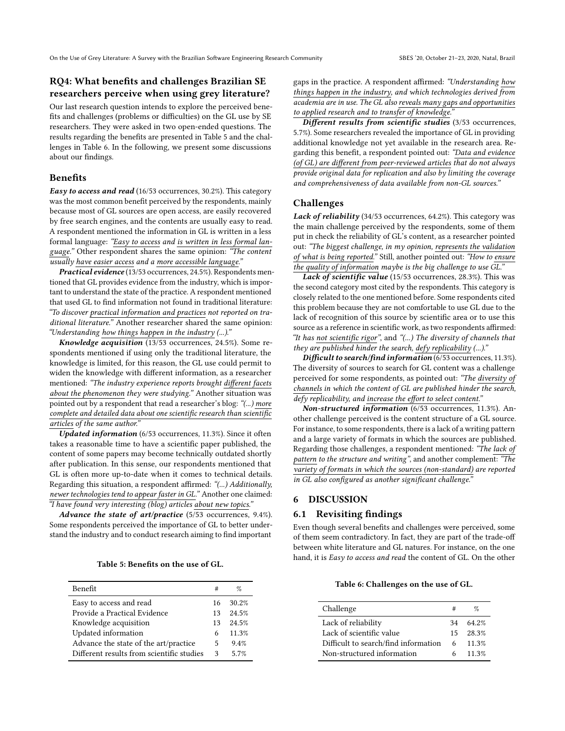# RQ4: What benefits and challenges Brazilian SE researchers perceive when using grey literature?

Our last research question intends to explore the perceived benefits and challenges (problems or difficulties) on the GL use by SE researchers. They were asked in two open-ended questions. The results regarding the benefits are presented in Table [5](#page-6-0) and the challenges in Table [6.](#page-6-1) In the following, we present some discussions about our findings.

### Benefits

Easy to access and read (16/53 occurrences, 30.2%). This category was the most common benefit perceived by the respondents, mainly because most of GL sources are open access, are easily recovered by free search engines, and the contents are usually easy to read. A respondent mentioned the information in GL is written in a less formal language: "Easy to access and is written in less formal language." Other respondent shares the same opinion: "The content usually have easier access and a more accessible language."

Practical evidence (13/53 occurrences, 24.5%). Respondents mentioned that GL provides evidence from the industry, which is important to understand the state of the practice. A respondent mentioned that used GL to find information not found in traditional literature: "To discover practical information and practices not reported on traditional literature." Another researcher shared the same opinion: "Understanding how things happen in the industry (...)."

Knowledge acquisition (13/53 occurrences, 24.5%). Some respondents mentioned if using only the traditional literature, the knowledge is limited, for this reason, the GL use could permit to widen the knowledge with different information, as a researcher mentioned: "The industry experience reports brought different facets about the phenomenon they were studying." Another situation was pointed out by a respondent that read a researcher's blog: "(...) more complete and detailed data about one scientific research than scientific articles of the same author."

Updated information (6/53 occurrences, 11.3%). Since it often takes a reasonable time to have a scientific paper published, the content of some papers may become technically outdated shortly after publication. In this sense, our respondents mentioned that GL is often more up-to-date when it comes to technical details. Regarding this situation, a respondent affirmed: "(...) Additionally, newer technologies tend to appear faster in GL." Another one claimed: "I have found very interesting (blog) articles about new topics."

Advance the state of art/practice (5/53 occurrences, 9.4%). Some respondents perceived the importance of GL to better understand the industry and to conduct research aiming to find important

Table 5: Benefits on the use of GL.

<span id="page-6-0"></span>

| Benefit                                   | #             | %     |
|-------------------------------------------|---------------|-------|
| Easy to access and read                   | 16            | 30.2% |
| Provide a Practical Evidence              | 13            | 24.5% |
| Knowledge acquisition                     | 13            | 24.5% |
| Updated information                       | 6             | 11.3% |
| Advance the state of the art/practice     | 5             | 9.4%  |
| Different results from scientific studies | $\mathcal{L}$ | 57%   |

gaps in the practice. A respondent affirmed: "Understanding how things happen in the industry, and which technologies derived from academia are in use. The GL also reveals many gaps and opportunities to applied research and to transfer of knowledge.

Different results from scientific studies (3/53 occurrences, 5.7%). Some researchers revealed the importance of GL in providing additional knowledge not yet available in the research area. Regarding this benefit, a respondent pointed out: "Data and evidence (of GL) are different from peer-reviewed articles that do not always provide original data for replication and also by limiting the coverage and comprehensiveness of data available from non-GL sources."

# Challenges

Lack of reliability (34/53 occurrences, 64.2%). This category was the main challenge perceived by the respondents, some of them put in check the reliability of GL's content, as a researcher pointed out: "The biggest challenge, in my opinion, represents the validation of what is being reported." Still, another pointed out: "How to ensure the quality of information maybe is the big challenge to use GL."

Lack of scientific value (15/53 occurrences, 28.3%). This was the second category most cited by the respondents. This category is closely related to the one mentioned before. Some respondents cited this problem because they are not comfortable to use GL due to the lack of recognition of this source by scientific area or to use this source as a reference in scientific work, as two respondents affirmed: "It has not scientific rigor", and "(...) The diversity of channels that they are published hinder the search, defy replicability  $(...).$ "

Difficult to search/find information (6/53 occurrences, 11.3%). The diversity of sources to search for GL content was a challenge perceived for some respondents, as pointed out: "The diversity of channels in which the content of GL are published hinder the search, defy replicability, and increase the effort to select content."

Non-structured information (6/53 occurrences, 11.3%). Another challenge perceived is the content structure of a GL source. For instance, to some respondents, there is a lack of a writing pattern and a large variety of formats in which the sources are published. Regarding those challenges, a respondent mentioned: "The lack of pattern to the structure and writing", and another complement: "The variety of formats in which the sources (non-standard) are reported in GL also configured as another significant challenge."

# 6 DISCUSSION

### 6.1 Revisiting findings

Even though several benefits and challenges were perceived, some of them seem contradictory. In fact, they are part of the trade-off between white literature and GL natures. For instance, on the one hand, it is Easy to access and read the content of GL. On the other

Table 6: Challenges on the use of GL.

<span id="page-6-1"></span>

| Challenge                            |     | Z                |
|--------------------------------------|-----|------------------|
| Lack of reliability                  | 34  | 64.2%            |
| Lack of scientific value             | 15. | 28.3%            |
| Difficult to search/find information |     | $6 \quad 11.3\%$ |
| Non-structured information           | 6.  | 11.3%            |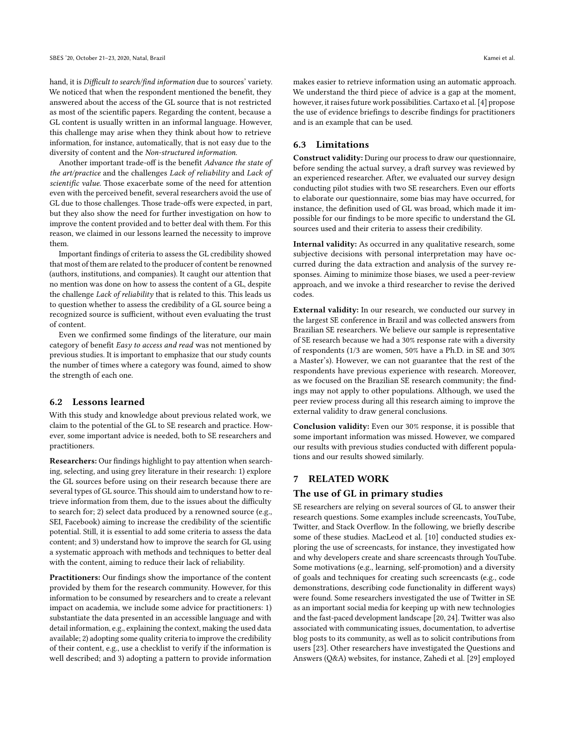hand, it is Difficult to search/find information due to sources' variety. We noticed that when the respondent mentioned the benefit, they answered about the access of the GL source that is not restricted as most of the scientific papers. Regarding the content, because a GL content is usually written in an informal language. However, this challenge may arise when they think about how to retrieve information, for instance, automatically, that is not easy due to the diversity of content and the Non-structured information.

Another important trade-off is the benefit Advance the state of the art/practice and the challenges Lack of reliability and Lack of scientific value. Those exacerbate some of the need for attention even with the perceived benefit, several researchers avoid the use of GL due to those challenges. Those trade-offs were expected, in part, but they also show the need for further investigation on how to improve the content provided and to better deal with them. For this reason, we claimed in our lessons learned the necessity to improve them.

Important findings of criteria to assess the GL credibility showed that most of them are related to the producer of content be renowned (authors, institutions, and companies). It caught our attention that no mention was done on how to assess the content of a GL, despite the challenge Lack of reliability that is related to this. This leads us to question whether to assess the credibility of a GL source being a recognized source is sufficient, without even evaluating the trust of content.

Even we confirmed some findings of the literature, our main category of benefit Easy to access and read was not mentioned by previous studies. It is important to emphasize that our study counts the number of times where a category was found, aimed to show the strength of each one.

# 6.2 Lessons learned

With this study and knowledge about previous related work, we claim to the potential of the GL to SE research and practice. However, some important advice is needed, both to SE researchers and practitioners.

Researchers: Our findings highlight to pay attention when searching, selecting, and using grey literature in their research: 1) explore the GL sources before using on their research because there are several types of GL source. This should aim to understand how to retrieve information from them, due to the issues about the difficulty to search for; 2) select data produced by a renowned source (e.g., SEI, Facebook) aiming to increase the credibility of the scientific potential. Still, it is essential to add some criteria to assess the data content; and 3) understand how to improve the search for GL using a systematic approach with methods and techniques to better deal with the content, aiming to reduce their lack of reliability.

Practitioners: Our findings show the importance of the content provided by them for the research community. However, for this information to be consumed by researchers and to create a relevant impact on academia, we include some advice for practitioners: 1) substantiate the data presented in an accessible language and with detail information, e.g., explaining the context, making the used data available; 2) adopting some quality criteria to improve the credibility of their content, e.g., use a checklist to verify if the information is well described; and 3) adopting a pattern to provide information

makes easier to retrieve information using an automatic approach. We understand the third piece of advice is a gap at the moment, however, it raises future work possibilities. Cartaxo et al. [\[4\]](#page-9-24) propose the use of evidence briefings to describe findings for practitioners and is an example that can be used.

# 6.3 Limitations

Construct validity: During our process to draw our questionnaire, before sending the actual survey, a draft survey was reviewed by an experienced researcher. After, we evaluated our survey design conducting pilot studies with two SE researchers. Even our efforts to elaborate our questionnaire, some bias may have occurred, for instance, the definition used of GL was broad, which made it impossible for our findings to be more specific to understand the GL sources used and their criteria to assess their credibility.

Internal validity: As occurred in any qualitative research, some subjective decisions with personal interpretation may have occurred during the data extraction and analysis of the survey responses. Aiming to minimize those biases, we used a peer-review approach, and we invoke a third researcher to revise the derived codes.

External validity: In our research, we conducted our survey in the largest SE conference in Brazil and was collected answers from Brazilian SE researchers. We believe our sample is representative of SE research because we had a 30% response rate with a diversity of respondents (1/3 are women, 50% have a Ph.D. in SE and 30% a Master's). However, we can not guarantee that the rest of the respondents have previous experience with research. Moreover, as we focused on the Brazilian SE research community; the findings may not apply to other populations. Although, we used the peer review process during all this research aiming to improve the external validity to draw general conclusions.

Conclusion validity: Even our 30% response, it is possible that some important information was missed. However, we compared our results with previous studies conducted with different populations and our results showed similarly.

# 7 RELATED WORK

### The use of GL in primary studies

SE researchers are relying on several sources of GL to answer their research questions. Some examples include screencasts, YouTube, Twitter, and Stack Overflow. In the following, we briefly describe some of these studies. MacLeod et al. [\[10\]](#page-9-25) conducted studies exploring the use of screencasts, for instance, they investigated how and why developers create and share screencasts through YouTube. Some motivations (e.g., learning, self-promotion) and a diversity of goals and techniques for creating such screencasts (e.g., code demonstrations, describing code functionality in different ways) were found. Some researchers investigated the use of Twitter in SE as an important social media for keeping up with new technologies and the fast-paced development landscape [\[20,](#page-9-26) [24\]](#page-9-27). Twitter was also associated with communicating issues, documentation, to advertise blog posts to its community, as well as to solicit contributions from users [\[23\]](#page-9-28). Other researchers have investigated the Questions and Answers (Q&A) websites, for instance, Zahedi et al. [\[29\]](#page-9-5) employed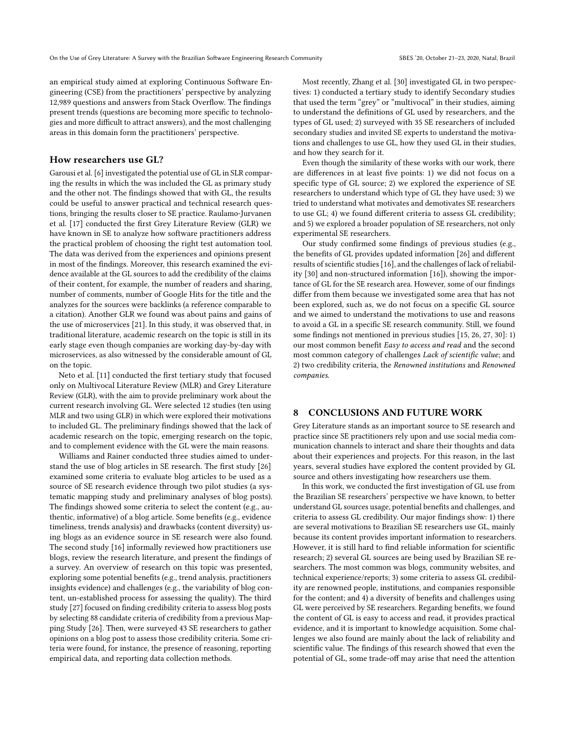an empirical study aimed at exploring Continuous Software Engineering (CSE) from the practitioners' perspective by analyzing 12,989 questions and answers from Stack Overflow. The findings present trends (questions are becoming more specific to technologies and more difficult to attract answers), and the most challenging areas in this domain form the practitioners' perspective.

### How researchers use GL?

Garousi et al. [\[6\]](#page-9-6) investigated the potential use of GL in SLR comparing the results in which the was included the GL as primary study and the other not. The findings showed that with GL, the results could be useful to answer practical and technical research questions, bringing the results closer to SE practice. Raulamo-Jurvanen et al. [\[17\]](#page-9-15) conducted the first Grey Literature Review (GLR) we have known in SE to analyze how software practitioners address the practical problem of choosing the right test automation tool. The data was derived from the experiences and opinions present in most of the findings. Moreover, this research examined the evidence available at the GL sources to add the credibility of the claims of their content, for example, the number of readers and sharing, number of comments, number of Google Hits for the title and the analyzes for the sources were backlinks (a reference comparable to a citation). Another GLR we found was about pains and gains of the use of microservices [\[21\]](#page-9-29). In this study, it was observed that, in traditional literature, academic research on the topic is still in its early stage even though companies are working day-by-day with microservices, as also witnessed by the considerable amount of GL on the topic.

Neto et al. [\[11\]](#page-9-17) conducted the first tertiary study that focused only on Multivocal Literature Review (MLR) and Grey Literature Review (GLR), with the aim to provide preliminary work about the current research involving GL. Were selected 12 studies (ten using MLR and two using GLR) in which were explored their motivations to included GL. The preliminary findings showed that the lack of academic research on the topic, emerging research on the topic, and to complement evidence with the GL were the main reasons.

Williams and Rainer conducted three studies aimed to understand the use of blog articles in SE research. The first study [\[26\]](#page-9-8) examined some criteria to evaluate blog articles to be used as a source of SE research evidence through two pilot studies (a systematic mapping study and preliminary analyses of blog posts). The findings showed some criteria to select the content (e.g., authentic, informative) of a blog article. Some benefits (e.g., evidence timeliness, trends analysis) and drawbacks (content diversity) using blogs as an evidence source in SE research were also found. The second study [\[16\]](#page-9-7) informally reviewed how practitioners use blogs, review the research literature, and present the findings of a survey. An overview of research on this topic was presented, exploring some potential benefits (e.g., trend analysis, practitioners insights evidence) and challenges (e.g., the variability of blog content, un-established process for assessing the quality). The third study [\[27\]](#page-9-30) focused on finding credibility criteria to assess blog posts by selecting 88 candidate criteria of credibility from a previous Mapping Study [\[26\]](#page-9-8). Then, were surveyed 43 SE researchers to gather opinions on a blog post to assess those credibility criteria. Some criteria were found, for instance, the presence of reasoning, reporting empirical data, and reporting data collection methods.

Most recently, Zhang et al. [\[30\]](#page-9-18) investigated GL in two perspectives: 1) conducted a tertiary study to identify Secondary studies that used the term "grey" or "multivocal" in their studies, aiming to understand the definitions of GL used by researchers, and the types of GL used; 2) surveyed with 35 SE researchers of included secondary studies and invited SE experts to understand the motivations and challenges to use GL, how they used GL in their studies, and how they search for it.

Even though the similarity of these works with our work, there are differences in at least five points: 1) we did not focus on a specific type of GL source; 2) we explored the experience of SE researchers to understand which type of GL they have used; 3) we tried to understand what motivates and demotivates SE researchers to use GL; 4) we found different criteria to assess GL credibility; and 5) we explored a broader population of SE researchers, not only experimental SE researchers.

Our study confirmed some findings of previous studies (e.g., the benefits of GL provides updated information [\[26\]](#page-9-8) and different results of scientific studies [\[16\]](#page-9-7), and the challenges of lack of reliability [\[30\]](#page-9-18) and non-structured information [\[16\]](#page-9-7)), showing the importance of GL for the SE research area. However, some of our findings differ from them because we investigated some area that has not been explored, such as, we do not focus on a specific GL source and we aimed to understand the motivations to use and reasons to avoid a GL in a specific SE research community. Still, we found some findings not mentioned in previous studies [\[15,](#page-9-11) [26,](#page-9-8) [27,](#page-9-30) [30\]](#page-9-18): 1) our most common benefit Easy to access and read and the second most common category of challenges Lack of scientific value; and 2) two credibility criteria, the Renowned institutions and Renowned companies.

### 8 CONCLUSIONS AND FUTURE WORK

Grey Literature stands as an important source to SE research and practice since SE practitioners rely upon and use social media communication channels to interact and share their thoughts and data about their experiences and projects. For this reason, in the last years, several studies have explored the content provided by GL source and others investigating how researchers use them.

In this work, we conducted the first investigation of GL use from the Brazilian SE researchers' perspective we have known, to better understand GL sources usage, potential benefits and challenges, and criteria to assess GL credibility. Our major findings show: 1) there are several motivations to Brazilian SE researchers use GL, mainly because its content provides important information to researchers. However, it is still hard to find reliable information for scientific research; 2) several GL sources are being used by Brazilian SE researchers. The most common was blogs, community websites, and technical experience/reports; 3) some criteria to assess GL credibility are renowned people, institutions, and companies responsible for the content; and 4) a diversity of benefits and challenges using GL were perceived by SE researchers. Regarding benefits, we found the content of GL is easy to access and read, it provides practical evidence, and it is important to knowledge acquisition. Some challenges we also found are mainly about the lack of reliability and scientific value. The findings of this research showed that even the potential of GL, some trade-off may arise that need the attention